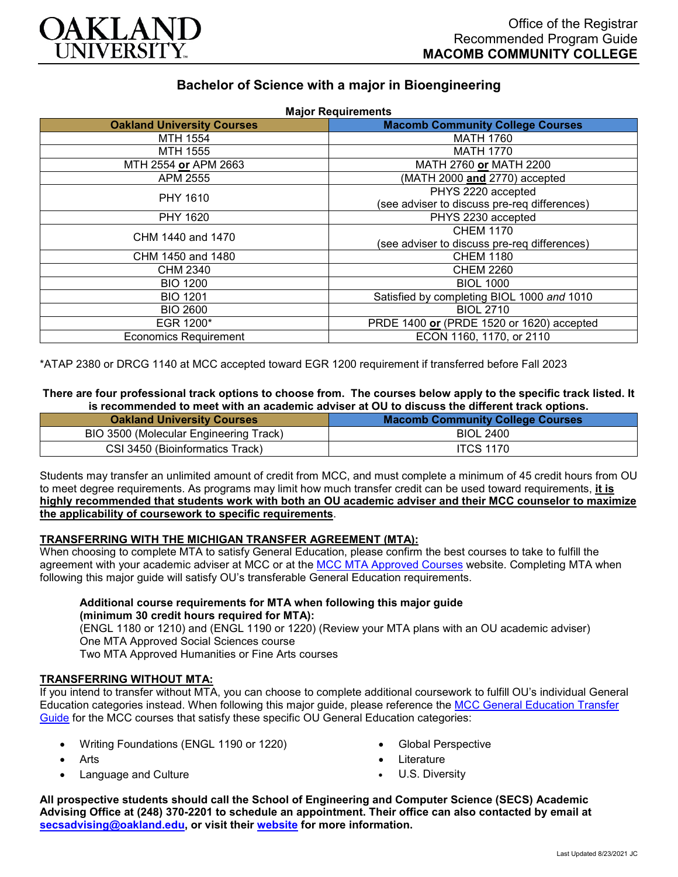

# **Bachelor of Science with a major in Bioengineering**

| <b>Oakland University Courses</b> | <b>Major Requirements</b><br><b>Macomb Community College Courses</b> |
|-----------------------------------|----------------------------------------------------------------------|
| MTH 1554                          | <b>MATH 1760</b>                                                     |
| MTH 1555                          | <b>MATH 1770</b>                                                     |
| MTH 2554 or APM 2663              | MATH 2760 or MATH 2200                                               |
| APM 2555                          | (MATH 2000 and 2770) accepted                                        |
| PHY 1610                          | PHYS 2220 accepted                                                   |
|                                   | (see adviser to discuss pre-req differences)                         |
| PHY 1620                          | PHYS 2230 accepted                                                   |
| CHM 1440 and 1470                 | <b>CHEM 1170</b>                                                     |
|                                   | (see adviser to discuss pre-req differences)                         |
| CHM 1450 and 1480                 | <b>CHEM 1180</b>                                                     |
| CHM 2340                          | <b>CHEM 2260</b>                                                     |
| <b>BIO 1200</b>                   | <b>BIOL 1000</b>                                                     |
| <b>BIO 1201</b>                   | Satisfied by completing BIOL 1000 and 1010                           |
| <b>BIO 2600</b>                   | <b>BIOL 2710</b>                                                     |
| EGR 1200*                         | PRDE 1400 or (PRDE 1520 or 1620) accepted                            |
| <b>Economics Requirement</b>      | ECON 1160, 1170, or 2110                                             |

\*ATAP 2380 or DRCG 1140 at MCC accepted toward EGR 1200 requirement if transferred before Fall 2023

#### **There are four professional track options to choose from. The courses below apply to the specific track listed. It is recommended to meet with an academic adviser at OU to discuss the different track options.**

| <b>Oakland University Courses</b>      | <b>Macomb Community College Courses</b> |
|----------------------------------------|-----------------------------------------|
| BIO 3500 (Molecular Engineering Track) | <b>BIOL 2400</b>                        |
| CSI 3450 (Bioinformatics Track)        | <b>ITCS 1170</b>                        |

Students may transfer an unlimited amount of credit from MCC, and must complete a minimum of 45 credit hours from OU to meet degree requirements. As programs may limit how much transfer credit can be used toward requirements, **it is highly recommended that students work with both an OU academic adviser and their MCC counselor to maximize the applicability of coursework to specific requirements**.

### **TRANSFERRING WITH THE MICHIGAN TRANSFER AGREEMENT (MTA):**

When choosing to complete MTA to satisfy General Education, please confirm the best courses to take to fulfill the agreement with your academic adviser at MCC or at the [MCC MTA Approved Courses](https://www.macomb.edu/resources/transfer-articulation/attachments/mta-macrao-course-list.pdf) website. Completing MTA when following this major guide will satisfy OU's transferable General Education requirements.

#### **Additional course requirements for MTA when following this major guide (minimum 30 credit hours required for MTA):**

(ENGL 1180 or 1210) and (ENGL 1190 or 1220) (Review your MTA plans with an OU academic adviser) One MTA Approved Social Sciences course Two MTA Approved Humanities or Fine Arts courses

# **TRANSFERRING WITHOUT MTA:**

If you intend to transfer without MTA, you can choose to complete additional coursework to fulfill OU's individual General Education categories instead. When following this major guide, please reference the [MCC General Education Transfer](https://www.oakland.edu/Assets/Oakland/program-guides/macomb-community-college/university-general-education-requirements/MCC%20Gen%20Ed.pdf)  [Guide](https://www.oakland.edu/Assets/Oakland/program-guides/macomb-community-college/university-general-education-requirements/MCC%20Gen%20Ed.pdf) for the MCC courses that satisfy these specific OU General Education categories:

- Writing Foundations (ENGL 1190 or 1220)
- **Arts**
- Language and Culture
- Global Perspective
- **Literature**
- U.S. Diversity

**All prospective students should call the School of Engineering and Computer Science (SECS) Academic Advising Office at (248) 370-2201 to schedule an appointment. Their office can also contacted by email at [secsadvising@oakland.edu,](mailto:secsadvising@oakland.edu) or visit their [website](https://wwwp.oakland.edu/secs/advising/) for more information.**